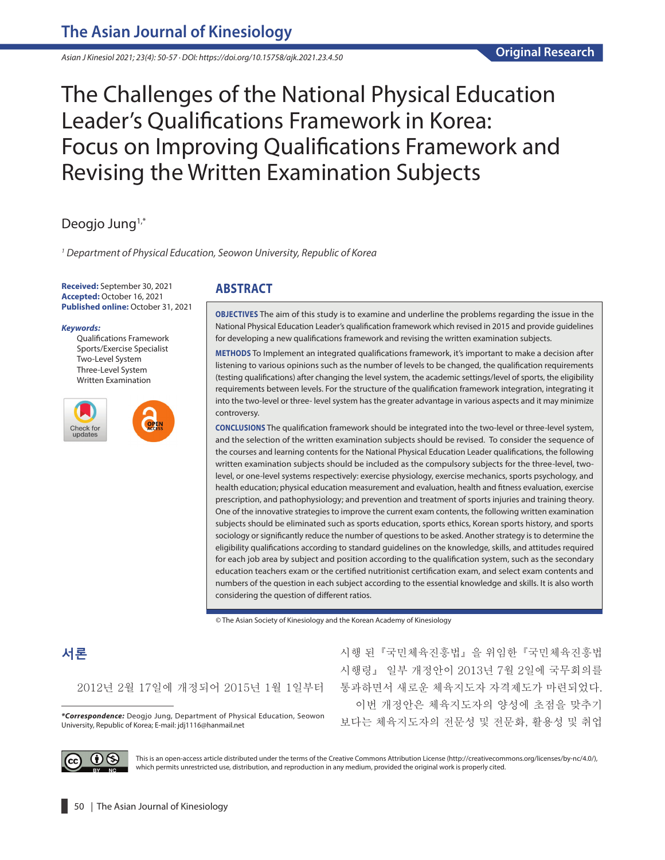*Asian J Kinesiol 2021; 23(4): 50-57 · DOI: https://doi.org/10.15758/ajk.2021.23.4.50*

# The Challenges of the National Physical Education Leader's Qualifications Framework in Korea: Focus on Improving Qualifications Framework and Revising the Written Examination Subjects

# Deogjo Jung<sup>1,\*</sup>

*1 Department of Physical Education, Seowon University, Republic of Korea*

**Received:** September 30, 2021 **Accepted:** October 16, 2021 **Published online:** October 31, 2021

#### *Keywords:*

Qualifications Framework Sports/Exercise Specialist Two-Level System Three-Level System Written Examination



## **ABSTRACT**

**OBJECTIVES** The aim of this study is to examine and underline the problems regarding the issue in the National Physical Education Leader's qualification framework which revised in 2015 and provide guidelines for developing a new qualifications framework and revising the written examination subjects.

**METHODS** To Implement an integrated qualifications framework, it's important to make a decision after listening to various opinions such as the number of levels to be changed, the qualification requirements (testing qualifications) after changing the level system, the academic settings/level of sports, the eligibility requirements between levels. For the structure of the qualification framework integration, integrating it into the two-level or three- level system has the greater advantage in various aspects and it may minimize controversy.

**CONCLUSIONS** The qualification framework should be integrated into the two-level or three-level system, and the selection of the written examination subjects should be revised. To consider the sequence of the courses and learning contents for the National Physical Education Leader qualifications, the following written examination subjects should be included as the compulsory subjects for the three-level, twolevel, or one-level systems respectively: exercise physiology, exercise mechanics, sports psychology, and health education; physical education measurement and evaluation, health and fitness evaluation, exercise prescription, and pathophysiology; and prevention and treatment of sports injuries and training theory. One of the innovative strategies to improve the current exam contents, the following written examination subjects should be eliminated such as sports education, sports ethics, Korean sports history, and sports sociology or significantly reduce the number of questions to be asked. Another strategy is to determine the eligibility qualifications according to standard guidelines on the knowledge, skills, and attitudes required for each job area by subject and position according to the qualification system, such as the secondary education teachers exam or the certified nutritionist certification exam, and select exam contents and numbers of the question in each subject according to the essential knowledge and skills. It is also worth considering the question of different ratios.

© The Asian Society of Kinesiology and the Korean Academy of Kinesiology

# **서론**

2012년 2월 17일에 개정되어 2015년 1월 1일부터

University, Republic of Korea; E-mail: [jdj1116@hanmail.net](mailto:jdj1116@hanmail.net)

시행 된『국민체육진흥법』을 위임한『국민체육진흥법 시행령』 일부 개정안이 2013년 7월 2일에 국무회의를 통과하면서 새로운 체육지도자 자격제도가 마련되었다. 이번 개정안은 체육지도자의 양성에 초점을 맞추기 <mark>\*Correspondence:</mark> Deogjo Jung, Department of Physical Education, Seowon <sub>보다는 체육지도자의 전문성 및 전문화, 활용성 및 취업</sub>



This is an open-access article distributed under the terms of the Creative Commons Attribution License (http://creativecommons.org/licenses/by-nc/4.0/), which permits unrestricted use, distribution, and reproduction in any medium, provided the original work is properly cited.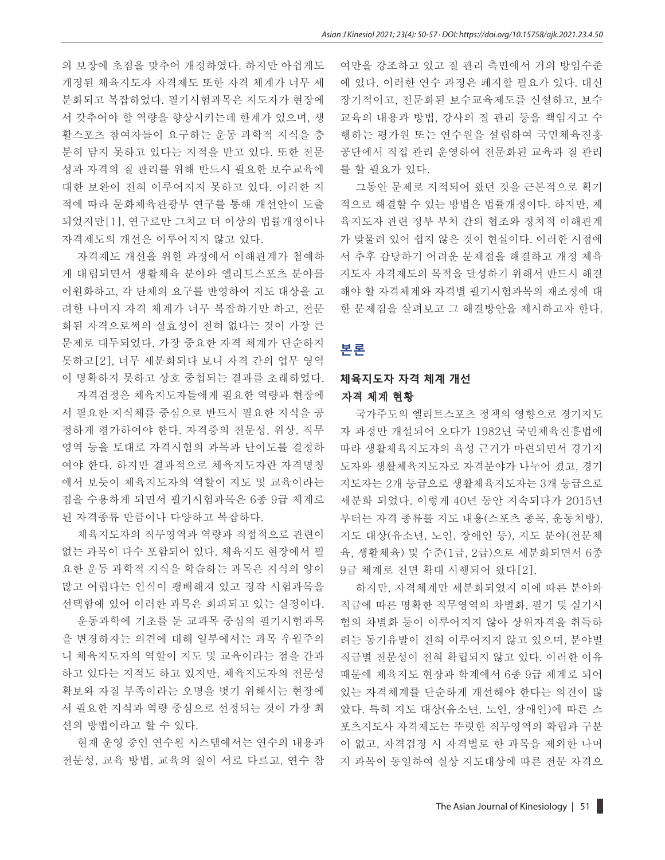의 보장에 초점을 맞추어 개정하였다. 하지만 아쉽게도 개정된 체육지도자 자격제도 또한 자격 체계가 너무 세 분화되고 복잡하였다. 필기시험과목은 지도자가 현장에 서 갖추어야 할 역량을 향상시키는데 한계가 있으며, 생 활스포츠 참여자들이 요구하는 운동 과학적 지식을 충 분히 담지 못하고 있다는 지적을 받고 있다. 또한 전문 성과 자격의 질 관리를 위해 반드시 필요한 보수교육에 대한 보완이 전혀 이루어지지 못하고 있다. 이러한 지 적에 따라 문화체육관광부 연구를 통해 개선안이 도출 되었지만[1], 연구로만 그치고 더 이상의 법률개정이나 자격제도의 개선은 이루어지지 않고 있다.

자격제도 개선을 위한 과정에서 이해관계가 첨예하 게 대립되면서 생활체육 분야와 엘리트스포츠 분야를 이원화하고, 각 단체의 요구를 반영하여 지도 대상을 고 려한 나머지 자격 체계가 너무 복잡하기만 하고, 전문 화된 자격으로써의 실효성이 전혀 없다는 것이 가장 큰 문제로 대두되었다. 가장 중요한 자격 체계가 단순하지 못하고[2], 너무 세분화되다 보니 자격 간의 업무 영역 이 명확하지 못하고 상호 중첩되는 결과를 초래하였다.

자격검정은 체육지도자들에게 필요한 역량과 현장에 서 필요한 지식체를 중심으로 반드시 필요한 지식을 공 정하게 평가하여야 한다. 자격증의 전문성, 위상, 직무 영역 등을 토대로 자격시험의 과목과 난이도를 결정하 여야 한다. 하지만 결과적으로 체육지도자란 자격명칭 에서 보듯이 체육지도자의 역할이 지도 및 교육이라는 점을 수용하게 되면서 필기시험과목은 6종 9급 체계로 된 자격종류 만큼이나 다양하고 복잡하다.

체육지도자의 직무영역과 역량과 직접적으로 관련이 없는 과목이 다수 포함되어 있다. 체육지도 현장에서 필 요한 운동 과학적 지식을 학습하는 과목은 지식의 양이 많고 어렵다는 인식이 팽배해져 있고 정작 시험과목을 선택함에 있어 이러한 과목은 회피되고 있는 실정이다.

운동과학에 기초를 둔 교과목 중심의 필기시험과목 을 변경하자는 의견에 대해 일부에서는 과목 우월주의 니 체육지도자의 역할이 지도 및 교육이라는 점을 간과 하고 있다는 지적도 하고 있지만, 체육지도자의 전문성 확보와 자질 부족이라는 오명을 벗기 위해서는 현장에 서 필요한 지식과 역량 중심으로 선정되는 것이 가장 최 선의 방법이라고 할 수 있다.

현재 운영 중인 연수원 시스템에서는 연수의 내용과 전문성, 교육 방법, 교육의 질이 서로 다르고, 연수 참 여만을 강조하고 있고 질 관리 측면에서 거의 방임수준 에 있다. 이러한 연수 과정은 폐지할 필요가 있다. 대신 장기적이고, 전문화된 보수교육제도를 신설하고, 보수 교육의 내용과 방법, 강사의 질 관리 등을 책임지고 수 행하는 평가원 또는 연수원을 설립하여 국민체육진흥 공단에서 직접 관리 운영하여 전문화된 교육과 질 관리 를 할 필요가 있다.

그동안 문제로 지적되어 왔던 것을 근본적으로 획기 적으로 해결할 수 있는 방법은 법률개정이다. 하지만, 체 육지도자 관련 정부 부처 간의 협조와 정치적 이해관계 가 맞물려 있어 쉽지 않은 것이 현실이다. 이러한 시점에 서 추후 감당하기 어려운 문제점을 해결하고 개정 체육 지도자 자격제도의 목적을 달성하기 위해서 반드시 해결 해야 할 자격체계와 자격별 필기시험과목의 재조정에 대 한 문제점을 살펴보고 그 해결방안을 제시하고자 한다.

## **본론**

## **체육지도자 자격 체계 개선** 자격 체계 현황

국가주도의 엘리트스포츠 정책의 영향으로 경기지도 자 과정만 개설되어 오다가 1982년 국민체육진흥법에 따라 생활체육지도자의 육성 근거가 마련되면서 경기지 도자와 생활체육지도자로 자격분야가 나누어 졌고, 경기 지도자는 2개 등급으로 생활체육지도자는 3개 등급으로 세분화 되었다. 이렇게 40년 동안 지속되다가 2015년 부터는 자격 종류를 지도 내용(스포츠 종목, 운동처방), 지도 대상(유소년, 노인, 장애인 등), 지도 분야(전문체 육, 생활체육) 및 수준(1급, 2급)으로 세분화되면서 6종 9급 체계로 전면 확대 시행되어 왔다[2].

하지만, 자격체계만 세분화되었지 이에 따른 분야와 직급에 따른 명확한 직무영역의 차별화, 필기 및 실기시 험의 차별화 등이 이루어지지 않아 상위자격을 취득하 려는 동기유발이 전혀 이루어지지 않고 있으며, 분야별 직급별 전문성이 전혀 확립되지 않고 있다. 이러한 이유 때문에 체육지도 현장과 학계에서 6종 9급 체계로 되어 있는 자격체계를 단순하게 개선해야 한다는 의견이 많 았다. 특히 지도 대상(유소년, 노인, 장애인)에 따른 스 포츠지도사 자격제도는 뚜렷한 직무영역의 확립과 구분 이 없고, 자격검정 시 자격별로 한 과목을 제외한 나머 지 과목이 동일하여 실상 지도대상에 따른 전문 자격으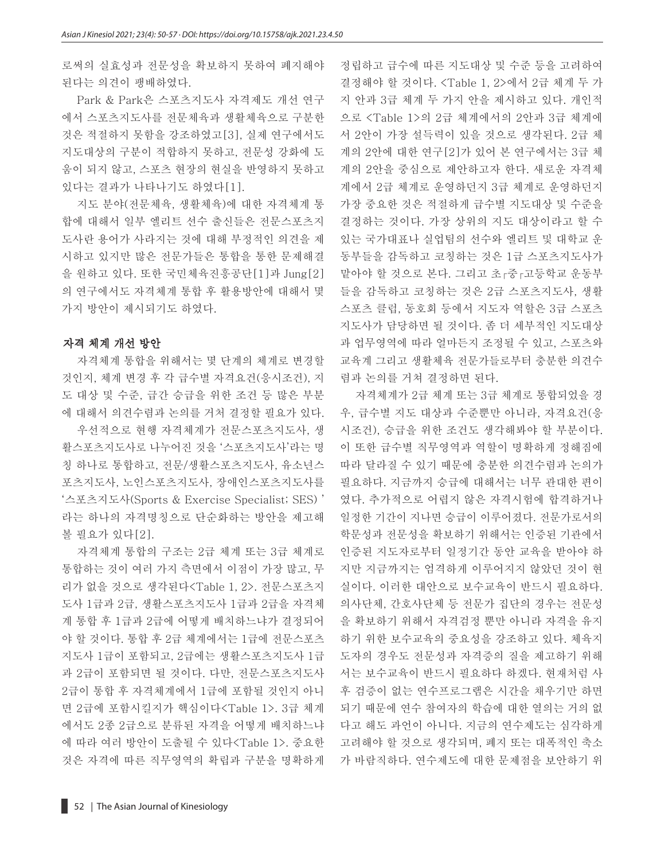로써의 실효성과 전문성을 확보하지 못하여 폐지해야 된다는 의견이 팽배하였다.

Park & Park은 스포츠지도사 자격제도 개선 연구 에서 스포츠지도사를 전문체육과 생활체육으로 구분한 것은 적절하지 못함을 강조하였고[3], 실제 연구에서도 지도대상의 구분이 적합하지 못하고, 전문성 강화에 도 움이 되지 않고, 스포츠 현장의 현실을 반영하지 못하고 있다는 결과가 나타나기도 하였다[1].

지도 분야(전문체육, 생활체육)에 대한 자격체계 통 합에 대해서 일부 엘리트 선수 출신들은 전문스포츠지 도사란 용어가 사라지는 것에 대해 부정적인 의견을 제 시하고 있지만 많은 전문가들은 통합을 통한 문제해결 을 원하고 있다. 또한 국민체육진흥공단[1]과 Jung[2] 의 연구에서도 자격체계 통합 후 활용방안에 대해서 몇 가지 방안이 제시되기도 하였다.

#### 자격 체계 개선 방안

자격체계 통합을 위해서는 몇 단계의 체계로 변경할 것인지, 체계 변경 후 각 급수별 자격요건(응시조건), 지 도 대상 및 수준, 급간 승급을 위한 조건 등 많은 부분 에 대해서 의견수렴과 논의를 거처 결정할 필요가 있다.

우선적으로 현행 자격체계가 전문스포츠지도사, 생 활스포츠지도사로 나누어진 것을 '스포츠지도사'라는 명 칭 하나로 통합하고, 전문/생활스포츠지도사, 유소년스 포츠지도사, 노인스포츠지도사, 장애인스포츠지도사를 '스포츠지도사(Sports & Exercise Specialist; SES) ' 라는 하나의 자격명칭으로 단순화하는 방안을 제고해 볼 필요가 있다[2].

자격체계 통합의 구조는 2급 체계 또는 3급 체계로 통합하는 것이 여러 가지 측면에서 이점이 가장 많고, 무 리가 없을 것으로 생각된다<Table 1, 2>. 전문스포츠지 도사 1급과 2급, 생활스포츠지도사 1급과 2급을 자격체 계 통합 후 1급과 2급에 어떻게 배치하느냐가 결정되어 야 할 것이다. 통합 후 2급 체계에서는 1급에 전문스포츠 지도사 1급이 포함되고, 2급에는 생활스포츠지도사 1급 과 2급이 포함되면 될 것이다. 다만, 전문스포츠지도사 2급이 통합 후 자격체계에서 1급에 포함될 것인지 아니 면 2급에 포함시킬지가 핵심이다<Table 1>. 3급 체계 에서도 2종 2급으로 분류된 자격을 어떻게 배치하느냐 에 따라 여러 방안이 도출될 수 있다<Table 1>. 중요한 것은 자격에 따른 직무영역의 확립과 구분을 명확하게 정립하고 급수에 따른 지도대상 및 수준 등을 고려하여 결정해야 할 것이다. <Table 1, 2>에서 2급 체계 두 가 지 안과 3급 체계 두 가지 안을 제시하고 있다. 개인적 으로 <Table 1>의 2급 체계에서의 2안과 3급 체계에 서 2안이 가장 설득력이 있을 것으로 생각된다. 2급 체 계의 2안에 대한 연구[2]가 있어 본 연구에서는 3급 체 계의 2안을 중심으로 제안하고자 한다. 새로운 자격체 계에서 2급 체계로 운영하던지 3급 체계로 운영하던지 가장 중요한 것은 적절하게 급수별 지도대상 및 수준을 결정하는 것이다. 가장 상위의 지도 대상이라고 할 수 있는 국가대표나 실업팀의 선수와 엘리트 및 대학교 운 동부들을 감독하고 코칭하는 것은 1급 스포츠지도사가 맡아야 할 것으로 본다. 그리고 초․중․고등학교 운동부 들을 감독하고 코칭하는 것은 2급 스포츠지도사, 생활 스포츠 클럽, 동호회 등에서 지도자 역할은 3급 스포츠 지도사가 담당하면 될 것이다. 좀 더 세부적인 지도대상 과 업무영역에 따라 얼마든지 조정될 수 있고, 스포츠와 교육계 그리고 생활체육 전문가들로부터 충분한 의견수 렴과 논의를 거쳐 결정하면 된다.

자격체계가 2급 체계 또는 3급 체계로 통합되었을 경 우, 급수별 지도 대상과 수준뿐만 아니라, 자격요건(응 시조건), 승급을 위한 조건도 생각해봐야 할 부분이다. 이 또한 급수별 직무영역과 역할이 명확하게 정해짐에 따라 달라질 수 있기 때문에 충분한 의견수렴과 논의가 필요하다. 지금까지 승급에 대해서는 너무 관대한 편이 였다. 추가적으로 어렵지 않은 자격시험에 합격하거나 일정한 기간이 지나면 승급이 이루어졌다. 전문가로서의 학문성과 전문성을 확보하기 위해서는 인증된 기관에서 인증된 지도자로부터 일정기간 동안 교육을 받아야 하 지만 지금까지는 엄격하게 이루어지지 않았던 것이 현 실이다. 이러한 대안으로 보수교육이 반드시 필요하다. 의사단체, 간호사단체 등 전문가 집단의 경우는 전문성 을 확보하기 위해서 자격검정 뿐만 아니라 자격을 유지 하기 위한 보수교육의 중요성을 강조하고 있다. 체육지 도자의 경우도 전문성과 자격증의 질을 제고하기 위해 서는 보수교육이 반드시 필요하다 하겠다. 현재처럼 사 후 검증이 없는 연수프로그램은 시간을 채우기만 하면 되기 때문에 연수 참여자의 학습에 대한 열의는 거의 없 다고 해도 과언이 아니다. 지금의 연수제도는 심각하게 고려해야 할 것으로 생각되며, 폐지 또는 대폭적인 축소 가 바람직하다. 연수제도에 대한 문제점을 보안하기 위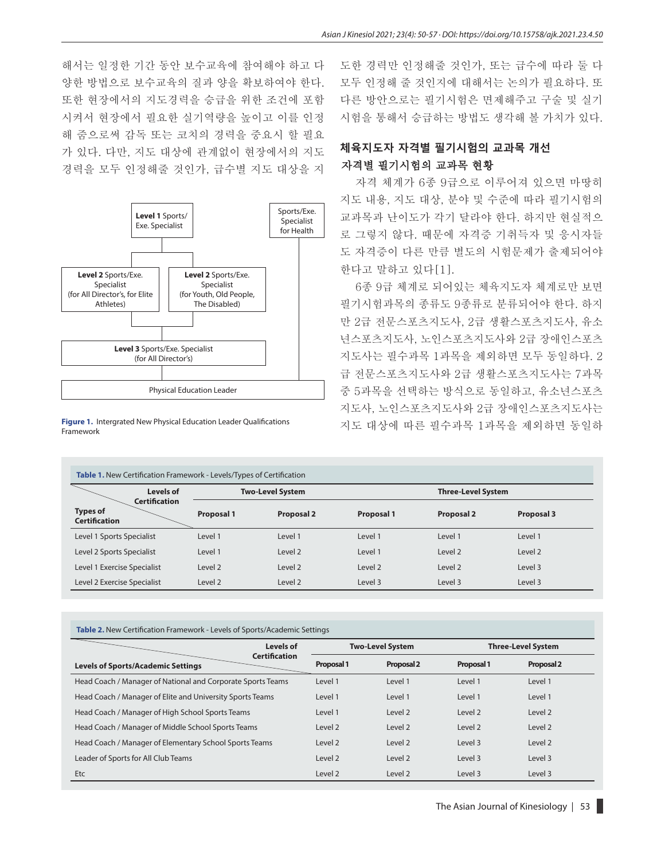해서는 일정한 기간 동안 보수교육에 참여해야 하고 다 양한 방법으로 보수교육의 질과 양을 확보하여야 한다. 또한 현장에서의 지도경력을 승급을 위한 조건에 포함 시켜서 현장에서 필요한 실기역량을 높이고 이를 인정 해 줌으로써 감독 또는 코치의 경력을 중요시 할 필요 가 있다. 다만, 지도 대상에 관계없이 현장에서의 지도 경력을 모두 인정해줄 것인가, 급수별 지도 대상을 지



**Figure 1.** Intergrated New Physical Education Leader Qualifications Framework

도한 경력만 인정해줄 것인가, 또는 급수에 따라 둘 다 모두 인정해 줄 것인지에 대해서는 논의가 필요하다. 또 다른 방안으로는 필기시험은 면제해주고 구술 및 실기 시험을 통해서 승급하는 방법도 생각해 볼 가치가 있다.

# **체육지도자 자격별 필기시험의 교과목 개선** 자격별 필기시험의 교과목 현황

자격 체계가 6종 9급으로 이루어져 있으면 마땅히 지도 내용, 지도 대상, 분야 및 수준에 따라 필기시험의 교과목과 난이도가 각기 달라야 한다. 하지만 현실적으 로 그렇지 않다. 때문에 자격증 기취득자 및 응시자들 도 자격증이 다른 만큼 별도의 시험문제가 출제되어야 한다고 말하고 있다[1].

6종 9급 체계로 되어있는 체육지도자 체계로만 보면 필기시험과목의 종류도 9종류로 분류되어야 한다. 하지 만 2급 전문스포츠지도사, 2급 생활스포츠지도사, 유소 년스포츠지도사, 노인스포츠지도사와 2급 장애인스포츠 지도사는 필수과목 1과목을 제외하면 모두 동일하다. 2 급 전문스포츠지도사와 2급 생활스포츠지도사는 7과목 중 5과목을 선택하는 방식으로 동일하고, 유소년스포츠 지도사, 노인스포츠지도사와 2급 장애인스포츠지도사는 지도 대상에 따른 필수과목 1과목을 제외하면 동일하

| Levels of                                                       |            | <b>Two-Level System</b> |            | <b>Three-Level System</b> |                   |
|-----------------------------------------------------------------|------------|-------------------------|------------|---------------------------|-------------------|
| <b>Certification</b><br><b>Types of</b><br><b>Certification</b> | Proposal 1 | <b>Proposal 2</b>       | Proposal 1 | <b>Proposal 2</b>         | <b>Proposal 3</b> |
| Level 1 Sports Specialist                                       | Level 1    | Level 1                 | Level 1    | Level 1                   | Level 1           |
| Level 2 Sports Specialist                                       | Level 1    | Level 2                 | Level 1    | Level 2                   | Level 2           |
| Level 1 Exercise Specialist                                     | Level 2    | Level 2                 | Level 2    | Level 2                   | Level 3           |
| Level 2 Exercise Specialist                                     | Level 2    | Level 2                 | Level 3    | Level 3                   | Level 3           |

| Table 2. New Certification Framework - Levels of Sports/Academic Settings |  |  |
|---------------------------------------------------------------------------|--|--|
|---------------------------------------------------------------------------|--|--|

|                                                             | Levels of            |            | <b>Two-Level System</b> |            | <b>Three-Level System</b> |  |
|-------------------------------------------------------------|----------------------|------------|-------------------------|------------|---------------------------|--|
| <b>Levels of Sports/Academic Settings</b>                   | <b>Certification</b> | Proposal 1 | Proposal 2              | Proposal 1 | Proposal 2                |  |
| Head Coach / Manager of National and Corporate Sports Teams |                      | Level 1    | Level 1                 | Level 1    | Level 1                   |  |
| Head Coach / Manager of Elite and University Sports Teams   |                      | Level 1    | Level 1                 | Level 1    | Level 1                   |  |
| Head Coach / Manager of High School Sports Teams            |                      | Level 1    | Level 2                 | Level 2    | Level 2                   |  |
| Head Coach / Manager of Middle School Sports Teams          |                      | Level 2    | Level 2                 | Level 2    | Level 2                   |  |
| Head Coach / Manager of Elementary School Sports Teams      |                      | Level 2    | Level 2                 | Level 3    | Level 2                   |  |
| Leader of Sports for All Club Teams                         |                      | Level 2    | Level 2                 | Level 3    | Level 3                   |  |
| Etc.                                                        |                      | Level 2    | Level 2                 | Level 3    | Level 3                   |  |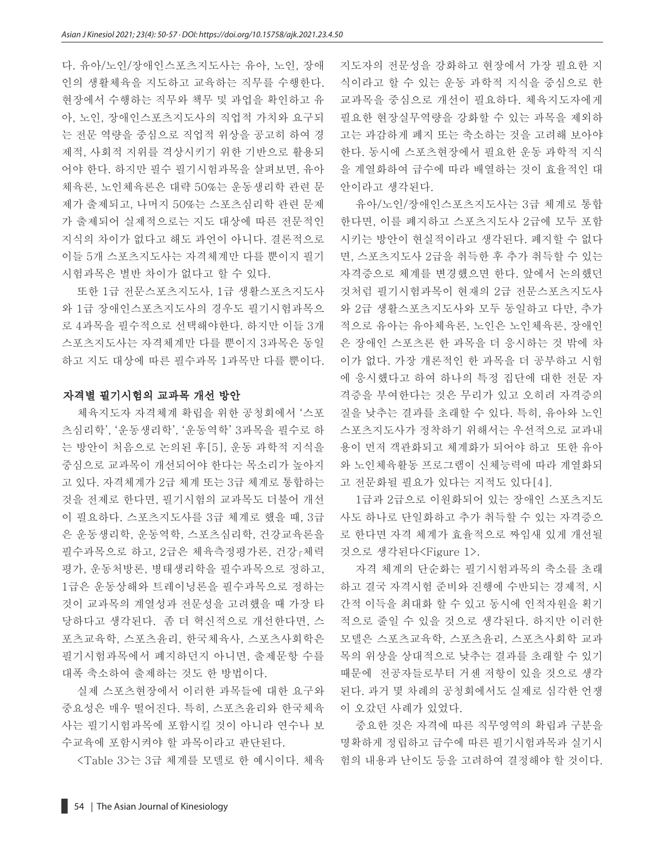다. 유아/노인/장애인스포츠지도사는 유아, 노인, 장애 인의 생활체육을 지도하고 교육하는 직무를 수행한다. 현장에서 수행하는 직무와 책무 및 과업을 확인하고 유 아, 노인, 장애인스포츠지도사의 직업적 가치와 요구되 는 전문 역량을 중심으로 직업적 위상을 공고히 하여 경 제적, 사회적 지위를 격상시키기 위한 기반으로 활용되 어야 한다. 하지만 필수 필기시험과목을 살펴보면, 유아 체육론, 노인체육론은 대략 50%는 운동생리학 관련 문 제가 출제되고, 나머지 50%는 스포츠심리학 관련 문제 가 출제되어 실제적으로는 지도 대상에 따른 전문적인 지식의 차이가 없다고 해도 과언이 아니다. 결론적으로 이들 5개 스포츠지도사는 자격체계만 다를 뿐이지 필기 시험과목은 별반 차이가 없다고 할 수 있다.

또한 1급 전문스포츠지도사, 1급 생활스포츠지도사 와 1급 장애인스포츠지도사의 경우도 필기시험과목으 로 4과목을 필수적으로 선택해야한다. 하지만 이들 3개 스포츠지도사는 자격체계만 다를 뿐이지 3과목은 동일 하고 지도 대상에 따른 필수과목 1과목만 다를 뿐이다.

#### 자격별 필기시험의 교과목 개선 방안

체육지도자 자격체계 확립을 위한 공청회에서 '스포 츠심리학', '운동생리학', '운동역학' 3과목을 필수로 하 는 방안이 처음으로 논의된 후[5], 운동 과학적 지식을 중심으로 교과목이 개선되어야 한다는 목소리가 높아지 고 있다. 자격체계가 2급 체계 또는 3급 체계로 통합하는 것을 전제로 한다면, 필기시험의 교과목도 더불어 개선 이 필요하다. 스포츠지도사를 3급 체계로 했을 때, 3급 은 운동생리학, 운동역학, 스포츠심리학, 건강교육론을 필수과목으로 하고, 2급은 체육측정평가론, 건강․체력 평가, 운동처방론, 병태생리학을 필수과목으로 정하고, 1급은 운동상해와 트레이닝론을 필수과목으로 정하는 것이 교과목의 계열성과 전문성을 고려했을 때 가장 타 당하다고 생각된다. 좀 더 혁신적으로 개선한다면, 스 포츠교육학, 스포츠윤리, 한국체육사, 스포츠사회학은 필기시험과목에서 폐지하던지 아니면, 출제문항 수를 대폭 축소하여 출제하는 것도 한 방법이다.

실제 스포츠현장에서 이러한 과목들에 대한 요구와 중요성은 매우 떨어진다. 특히, 스포츠윤리와 한국체육 사는 필기시험과목에 포함시킬 것이 아니라 연수나 보 수교육에 포함시켜야 할 과목이라고 판단된다.

<Table 3>는 3급 체계를 모델로 한 예시이다. 체육

지도자의 전문성을 강화하고 현장에서 가장 필요한 지 식이라고 할 수 있는 운동 과학적 지식을 중심으로 한 교과목을 중심으로 개선이 필요하다. 체육지도자에게 필요한 현장실무역량을 강화할 수 있는 과목을 제외하 고는 과감하게 폐지 또는 축소하는 것을 고려해 보아야 한다. 동시에 스포츠현장에서 필요한 운동 과학적 지식 을 계열화하여 급수에 따라 배열하는 것이 효율적인 대 안이라고 생각된다.

유아/노인/장애인스포츠지도사는 3급 체계로 통합 한다면, 이를 폐지하고 스포츠지도사 2급에 모두 포함 시키는 방안이 현실적이라고 생각된다. 폐지할 수 없다 면, 스포츠지도사 2급을 취득한 후 추가 취득할 수 있는 자격증으로 체계를 변경했으면 한다. 앞에서 논의했던 것처럼 필기시험과목이 현재의 2급 전문스포츠지도사 와 2급 생활스포츠지도사와 모두 동일하고 다만, 추가 적으로 유아는 유아체육론, 노인은 노인체육론, 장애인 은 장애인 스포츠론 한 과목을 더 응시하는 것 밖에 차 이가 없다. 가장 개론적인 한 과목을 더 공부하고 시험 에 응시했다고 하여 하나의 특정 집단에 대한 전문 자 격증을 부여한다는 것은 무리가 있고 오히려 자격증의 질을 낮추는 결과를 초래할 수 있다. 특히, 유아와 노인 스포츠지도사가 정착하기 위해서는 우선적으로 교과내 용이 먼저 객관화되고 체계화가 되어야 하고 또한 유아 와 노인체육활동 프로그램이 신체능력에 따라 계열화되 고 전문화될 필요가 있다는 지적도 있다[4].

1급과 2급으로 이원화되어 있는 장애인 스포츠지도 사도 하나로 단일화하고 추가 취득할 수 있는 자격증으 로 한다면 자격 체계가 효율적으로 짜임새 있게 개선될 것으로 생각된다<Figure 1>.

자격 체계의 단순화는 필기시험과목의 축소를 초래 하고 결국 자격시험 준비와 진행에 수반되는 경제적, 시 간적 이득을 최대화 할 수 있고 동시에 인적자원을 획기 적으로 줄일 수 있을 것으로 생각된다. 하지만 이러한 모델은 스포츠교육학, 스포츠윤리, 스포츠사회학 교과 목의 위상을 상대적으로 낮추는 결과를 초래할 수 있기 때문에 전공자들로부터 거센 저항이 있을 것으로 생각 된다. 과거 몇 차례의 공청회에서도 실제로 심각한 언쟁 이 오갔던 사례가 있었다.

중요한 것은 자격에 따른 직무영역의 확립과 구분을 명확하게 정립하고 급수에 따른 필기시험과목과 실기시 험의 내용과 난이도 등을 고려하여 결정해야 할 것이다.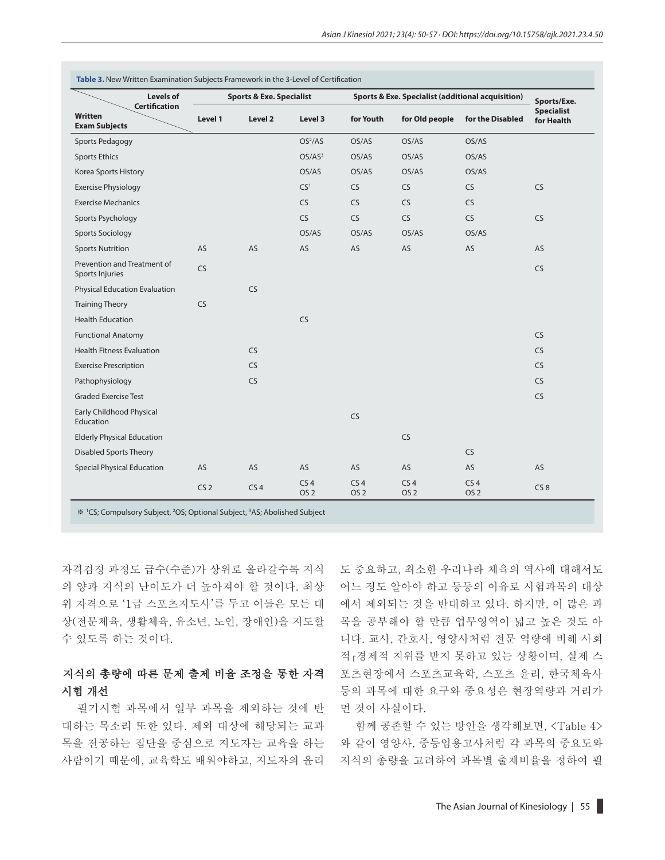| Levels of<br><b>Certification</b>              |                 | <b>Sports &amp; Exe. Specialist</b> |                                    |                                    | <b>Sports &amp; Exe. Specialist (additional acquisition)</b> |                                    |                                 |
|------------------------------------------------|-----------------|-------------------------------------|------------------------------------|------------------------------------|--------------------------------------------------------------|------------------------------------|---------------------------------|
| Written<br><b>Exam Subjects</b>                | Level 1         | Level 2                             | Level 3                            | for Youth                          | for Old people                                               | for the Disabled                   | <b>Specialist</b><br>for Health |
| Sports Pedagogy                                |                 |                                     | OS <sup>2</sup> /AS                | OS/AS                              | OS/AS                                                        | OS/AS                              |                                 |
| <b>Sports Ethics</b>                           |                 |                                     | OS/AS <sup>3</sup>                 | OS/AS                              | OS/AS                                                        | OS/AS                              |                                 |
| Korea Sports History                           |                 |                                     | OS/AS                              | OS/AS                              | OS/AS                                                        | OS/AS                              |                                 |
| <b>Exercise Physiology</b>                     |                 |                                     | CS <sup>1</sup>                    | <b>CS</b>                          | <b>CS</b>                                                    | <b>CS</b>                          | CS                              |
| <b>Exercise Mechanics</b>                      |                 |                                     | <b>CS</b>                          | <b>CS</b>                          | <b>CS</b>                                                    | <b>CS</b>                          |                                 |
| Sports Psychology                              |                 |                                     | <b>CS</b>                          | <b>CS</b>                          | <b>CS</b>                                                    | <b>CS</b>                          | <b>CS</b>                       |
| <b>Sports Sociology</b>                        |                 |                                     | OS/AS                              | OS/AS                              | OS/AS                                                        | OS/AS                              |                                 |
| <b>Sports Nutrition</b>                        | <b>AS</b>       | <b>AS</b>                           | AS                                 | AS                                 | AS                                                           | AS                                 | <b>AS</b>                       |
| Prevention and Treatment of<br>Sports Injuries | CS              |                                     |                                    |                                    |                                                              |                                    | <b>CS</b>                       |
| <b>Physical Education Evaluation</b>           |                 | <b>CS</b>                           |                                    |                                    |                                                              |                                    |                                 |
| <b>Training Theory</b>                         | <b>CS</b>       |                                     |                                    |                                    |                                                              |                                    |                                 |
| <b>Health Education</b>                        |                 |                                     | <b>CS</b>                          |                                    |                                                              |                                    |                                 |
| <b>Functional Anatomy</b>                      |                 |                                     |                                    |                                    |                                                              |                                    | <b>CS</b>                       |
| <b>Health Fitness Evaluation</b>               |                 | <b>CS</b>                           |                                    |                                    |                                                              |                                    | <b>CS</b>                       |
| <b>Exercise Prescription</b>                   |                 | <b>CS</b>                           |                                    |                                    |                                                              |                                    | <b>CS</b>                       |
| Pathophysiology                                |                 | <b>CS</b>                           |                                    |                                    |                                                              |                                    | <b>CS</b>                       |
| <b>Graded Exercise Test</b>                    |                 |                                     |                                    |                                    |                                                              |                                    | CS                              |
| Early Childhood Physical<br>Education          |                 |                                     |                                    | <b>CS</b>                          |                                                              |                                    |                                 |
| <b>Elderly Physical Education</b>              |                 |                                     |                                    |                                    | <b>CS</b>                                                    |                                    |                                 |
| <b>Disabled Sports Theory</b>                  |                 |                                     |                                    |                                    |                                                              | <b>CS</b>                          |                                 |
| <b>Special Physical Education</b>              | AS              | AS                                  | AS                                 | AS                                 | AS                                                           | AS                                 | AS                              |
|                                                | CS <sub>2</sub> | CS <sub>4</sub>                     | CS <sub>4</sub><br>OS <sub>2</sub> | CS <sub>4</sub><br>OS <sub>2</sub> | CS <sub>4</sub><br>OS <sub>2</sub>                           | CS <sub>4</sub><br>OS <sub>2</sub> | CS <sub>8</sub>                 |

※ <sup>1</sup> CS; Compulsory Subject, <sup>2</sup> OS; Optional Subject, <sup>3</sup> AS; Abolished Subject

자격검정 과정도 급수(수준)가 상위로 올라갈수록 지식 의 양과 지식의 난이도가 더 높아져야 할 것이다. 최상 위 자격으로 '1급 스포츠지도사'를 두고 이들은 모든 대 상(전문체육, 생활체육, 유소년, 노인, 장애인)을 지도할 수 있도록 하는 것이다.

# 지식의 총량에 따른 문제 출제 비율 조정을 통한 자격 시험 개선

필기시험 과목에서 일부 과목을 제외하는 것에 반 대하는 목소리 또한 있다. 제외 대상에 해당되는 교과 목을 전공하는 집단을 중심으로 지도자는 교육을 하는 사람이기 때문에, 교육학도 배워야하고, 지도자의 윤리 도 중요하고, 최소한 우리나라 체육의 역사에 대해서도 어느 정도 알아야 하고 등등의 이유로 시험과목의 대상 에서 제외되는 것을 반대하고 있다. 하지만, 이 많은 과 목을 공부해야 할 만큼 업무영역이 넓고 높은 것도 아 니다. 교사, 간호사, 영양사처럼 전문 역량에 비해 사회 적․경제적 지위를 받지 못하고 있는 상황이며, 실제 스 포츠현장에서 스포츠교육학, 스포츠 윤리, 한국체육사 등의 과목에 대한 요구와 중요성은 현장역량과 거리가 먼 것이 사실이다.

함께 공존할 수 있는 방안을 생각해보면, <Table 4> 와 같이 영양사, 중등임용고사처럼 각 과목의 중요도와 지식의 총량을 고려하여 과목별 출제비율을 정하여 필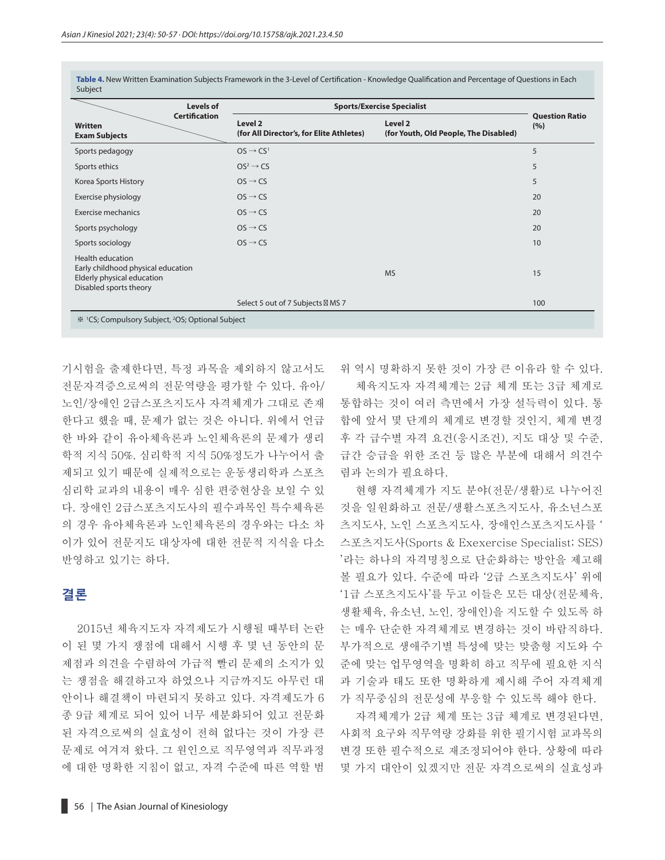| Levels of                                                                                                             | <b>Sports/Exercise Specialist</b>                   |                                                  |                              |  |
|-----------------------------------------------------------------------------------------------------------------------|-----------------------------------------------------|--------------------------------------------------|------------------------------|--|
| <b>Certification</b><br>Written<br><b>Exam Subjects</b>                                                               | Level 2<br>(for All Director's, for Elite Athletes) | Level 2<br>(for Youth, Old People, The Disabled) | <b>Question Ratio</b><br>(%) |  |
| Sports pedagogy                                                                                                       | $OS \rightarrow CS^1$                               |                                                  | 5                            |  |
| Sports ethics                                                                                                         | $OS^2 \rightarrow CS$                               |                                                  | 5                            |  |
| Korea Sports History                                                                                                  | $OS \rightarrow CS$                                 |                                                  | 5                            |  |
| Exercise physiology                                                                                                   | $OS \rightarrow CS$                                 |                                                  | 20                           |  |
| Exercise mechanics                                                                                                    | $OS \rightarrow CS$                                 |                                                  | 20                           |  |
| Sports psychology                                                                                                     | $OS \rightarrow CS$                                 |                                                  | 20                           |  |
| Sports sociology                                                                                                      | $OS \rightarrow CS$                                 |                                                  | 10                           |  |
| <b>Health education</b><br>Early childhood physical education<br>Elderly physical education<br>Disabled sports theory |                                                     | <b>MS</b>                                        | 15                           |  |
|                                                                                                                       | Select 5 out of 7 Subjects MS 7                     |                                                  | 100                          |  |
| <sup>36</sup> <sup>1</sup> CS; Compulsory Subject, <sup>2</sup> OS; Optional Subject                                  |                                                     |                                                  |                              |  |

**Table 4.** New Written Examination Subjects Framework in the 3-Level of Certification - Knowledge Qualification and Percentage of Questions in Each Subject

기시험을 출제한다면, 특정 과목을 제외하지 않고서도 전문자격증으로써의 전문역량을 평가할 수 있다. 유아/ 노인/장애인 2급스포츠지도사 자격체계가 그대로 존재 한다고 했을 때, 문제가 없는 것은 아니다. 위에서 언급 한 바와 같이 유아체육론과 노인체육론의 문제가 생리 학적 지식 50%. 심리학적 지식 50%정도가 나누어서 출 제되고 있기 때문에 실제적으로는 운동생리학과 스포츠 심리학 교과의 내용이 매우 심한 편중현상을 보일 수 있 다. 장애인 2급스포츠지도사의 필수과목인 특수체육론 의 경우 유아체육론과 노인체육론의 경우와는 다소 차 이가 있어 전문지도 대상자에 대한 전문적 지식을 다소 반영하고 있기는 하다.

# **결론**

2015년 체육지도자 자격제도가 시행될 때부터 논란 이 된 몇 가지 쟁점에 대해서 시행 후 몇 년 동안의 문 제점과 의견을 수렴하여 가급적 빨리 문제의 소지가 있 는 쟁점을 해결하고자 하였으나 지금까지도 아무런 대 안이나 해결책이 마련되지 못하고 있다. 자격제도가 6 종 9급 체계로 되어 있어 너무 세분화되어 있고 전문화 된 자격으로써의 실효성이 전혀 없다는 것이 가장 큰 문제로 여겨져 왔다. 그 원인으로 직무영역과 직무과정 에 대한 명확한 지침이 없고, 자격 수준에 따른 역할 범

위 역시 명확하지 못한 것이 가장 큰 이유라 할 수 있다. 체육지도자 자격체계는 2급 체계 또는 3급 체계로 통합하는 것이 여러 측면에서 가장 설득력이 있다. 통 합에 앞서 몇 단계의 체계로 변경할 것인지, 체계 변경 후 각 급수별 자격 요건(응시조건), 지도 대상 및 수준, 급간 승급을 위한 조건 등 많은 부분에 대해서 의견수 렴과 논의가 필요하다.

현행 자격체계가 지도 분야(전문/생활)로 나누어진 것을 일원화하고 전문/생활스포츠지도사, 유소년스포 츠지도사, 노인 스포츠지도사, 장애인스포츠지도사를 ' 스포츠지도사(Sports & Exexercise Specialist; SES) '라는 하나의 자격명칭으로 단순화하는 방안을 제고해 볼 필요가 있다. 수준에 따라 '2급 스포츠지도사' 위에 '1급 스포츠지도사'를 두고 이들은 모든 대상(전문체육, 생활체육, 유소년, 노인, 장애인)을 지도할 수 있도록 하 는 매우 단순한 자격체계로 변경하는 것이 바람직하다. 부가적으로 생애주기별 특성에 맞는 맞춤형 지도와 수 준에 맞는 업무영역을 명확히 하고 직무에 필요한 지식 과 기술과 태도 또한 명확하게 제시해 주어 자격체계 가 직무중심의 전문성에 부응할 수 있도록 해야 한다.

자격체계가 2급 체계 또는 3급 체계로 변경된다면, 사회적 요구와 직무역량 강화를 위한 필기시험 교과목의 변경 또한 필수적으로 재조정되어야 한다. 상황에 따라 몇 가지 대안이 있겠지만 전문 자격으로써의 실효성과